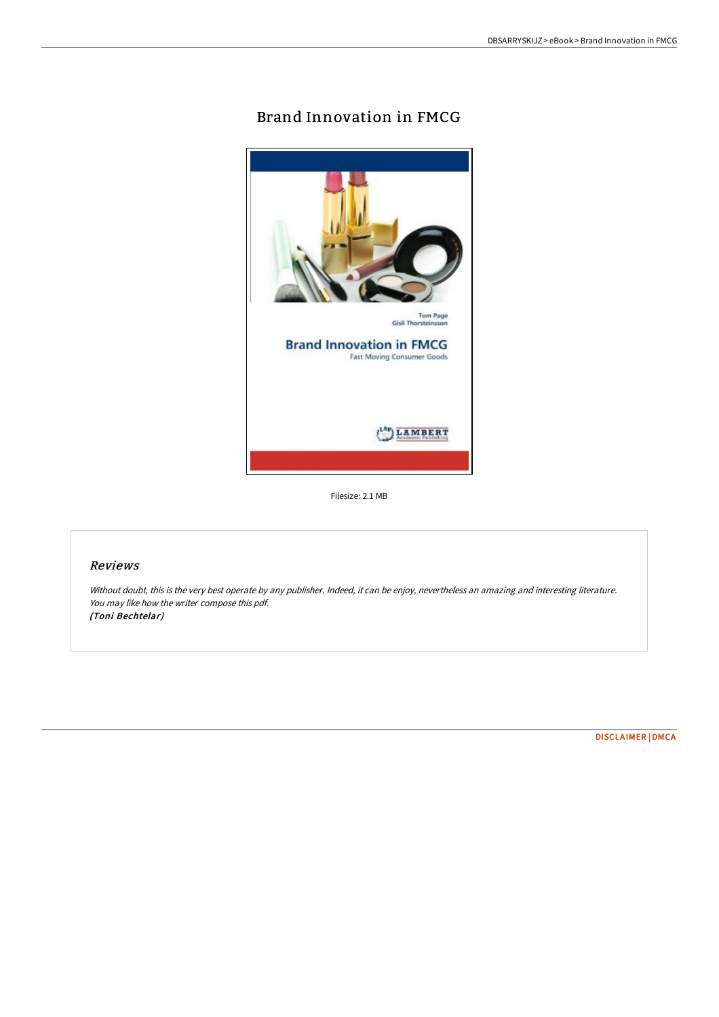# Brand Innovation in FMCG



Filesize: 2.1 MB

## Reviews

Without doubt, this is the very best operate by any publisher. Indeed, it can be enjoy, nevertheless an amazing and interesting literature. You may like how the writer compose this pdf. (Toni Bechtelar)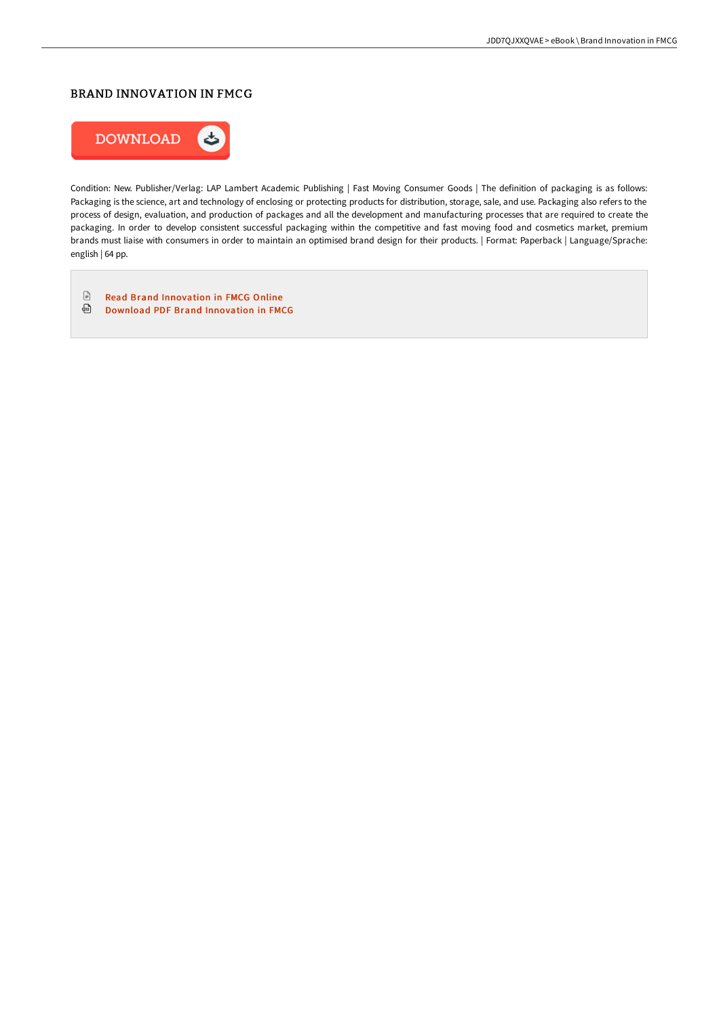## BRAND INNOVATION IN FMCG



Condition: New. Publisher/Verlag: LAP Lambert Academic Publishing | Fast Moving Consumer Goods | The definition of packaging is as follows: Packaging is the science, art and technology of enclosing or protecting products for distribution, storage, sale, and use. Packaging also refers to the process of design, evaluation, and production of packages and all the development and manufacturing processes that are required to create the packaging. In order to develop consistent successful packaging within the competitive and fast moving food and cosmetics market, premium brands must liaise with consumers in order to maintain an optimised brand design for their products. | Format: Paperback | Language/Sprache: english | 64 pp.

 $\ensuremath{\mathop\square}$ Read Brand [Innovation](http://www.bookdirs.com/brand-innovation-in-fmcg.html) in FMCG Online Download PDF Brand [Innovation](http://www.bookdirs.com/brand-innovation-in-fmcg.html) in FMCG